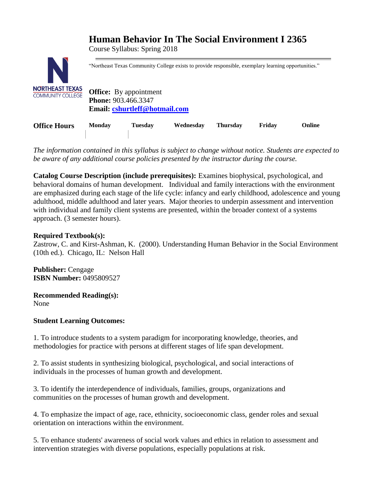# **Human Behavior In The Social Environment I 2365**

Course Syllabus: Spring 2018



"Northeast Texas Community College exists to provide responsible, exemplary learning opportunities."

**Office:** By appointment **Phone:** 903.466.3347 **Email: [cshurtleff@hotmail.com](mailto:cshurtleff@hotmail.com)**

| <b>Office Hours</b> | <b>Monday</b> | <b>Tuesday</b> | Wednesday | <b>Thursday</b> | Fridav | Online |
|---------------------|---------------|----------------|-----------|-----------------|--------|--------|
|                     |               |                |           |                 |        |        |

*The information contained in this syllabus is subject to change without notice. Students are expected to be aware of any additional course policies presented by the instructor during the course.*

**Catalog Course Description (include prerequisites):** Examines biophysical, psychological, and behavioral domains of human development. Individual and family interactions with the environment are emphasized during each stage of the life cycle: infancy and early childhood, adolescence and young adulthood, middle adulthood and later years. Major theories to underpin assessment and intervention with individual and family client systems are presented, within the broader context of a systems approach. (3 semester hours).

# **Required Textbook(s):**

Zastrow, C. and Kirst-Ashman, K. (2000). Understanding Human Behavior in the Social Environment (10th ed.). Chicago, IL: Nelson Hall

**Publisher:** Cengage **ISBN Number:** 0495809527

**Recommended Reading(s):** None

# **Student Learning Outcomes:**

1. To introduce students to a system paradigm for incorporating knowledge, theories, and methodologies for practice with persons at different stages of life span development.

2. To assist students in synthesizing biological, psychological, and social interactions of individuals in the processes of human growth and development.

3. To identify the interdependence of individuals, families, groups, organizations and communities on the processes of human growth and development.

4. To emphasize the impact of age, race, ethnicity, socioeconomic class, gender roles and sexual orientation on interactions within the environment.

5. To enhance students' awareness of social work values and ethics in relation to assessment and intervention strategies with diverse populations, especially populations at risk.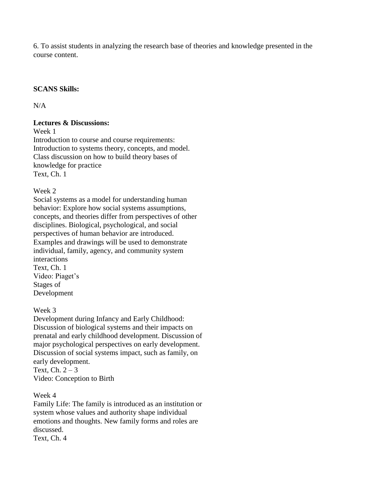6. To assist students in analyzing the research base of theories and knowledge presented in the course content.

#### **SCANS Skills:**

N/A

#### **Lectures & Discussions:**

Week 1

Introduction to course and course requirements: Introduction to systems theory, concepts, and model. Class discussion on how to build theory bases of knowledge for practice Text, Ch. 1

## Week 2

Social systems as a model for understanding human behavior: Explore how social systems assumptions, concepts, and theories differ from perspectives of other disciplines. Biological, psychological, and social perspectives of human behavior are introduced. Examples and drawings will be used to demonstrate individual, family, agency, and community system interactions Text, Ch. 1 Video: Piaget's Stages of Development

# Week 3

Development during Infancy and Early Childhood: Discussion of biological systems and their impacts on prenatal and early childhood development. Discussion of major psychological perspectives on early development. Discussion of social systems impact, such as family, on early development. Text, Ch.  $2 - 3$ 

Video: Conception to Birth

#### Week 4

Family Life: The family is introduced as an institution or system whose values and authority shape individual emotions and thoughts. New family forms and roles are discussed. Text, Ch. 4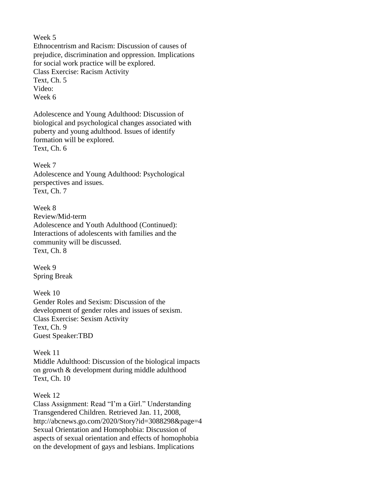Week 5

Ethnocentrism and Racism: Discussion of causes of prejudice, discrimination and oppression. Implications for social work practice will be explored. Class Exercise: Racism Activity Text, Ch. 5 Video: Week 6

Adolescence and Young Adulthood: Discussion of biological and psychological changes associated with puberty and young adulthood. Issues of identify formation will be explored. Text, Ch. 6

Week 7 Adolescence and Young Adulthood: Psychological perspectives and issues. Text, Ch. 7

Week 8 Review/Mid-term Adolescence and Youth Adulthood (Continued): Interactions of adolescents with families and the community will be discussed. Text, Ch. 8

Week 9 Spring Break

Week 10 Gender Roles and Sexism: Discussion of the development of gender roles and issues of sexism. Class Exercise: Sexism Activity Text, Ch. 9 Guest Speaker:TBD

Week 11 Middle Adulthood: Discussion of the biological impacts on growth & development during middle adulthood Text, Ch. 10

Week 12

Class Assignment: Read "I'm a Girl." Understanding Transgendered Children. Retrieved Jan. 11, 2008, http://abcnews.go.com/2020/Story?id=3088298&page=4 Sexual Orientation and Homophobia: Discussion of aspects of sexual orientation and effects of homophobia on the development of gays and lesbians. Implications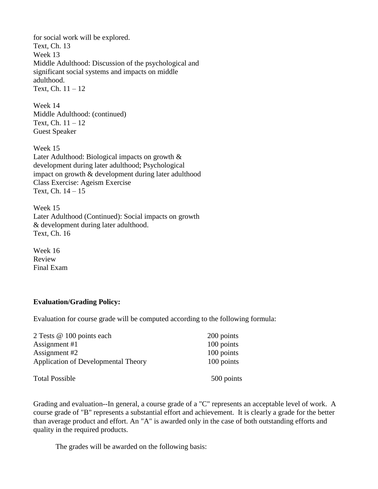for social work will be explored. Text, Ch. 13 Week 13 Middle Adulthood: Discussion of the psychological and significant social systems and impacts on middle adulthood. Text, Ch.  $11 - 12$ 

Week 14 Middle Adulthood: (continued) Text, Ch.  $11 - 12$ Guest Speaker

Week 15 Later Adulthood: Biological impacts on growth & development during later adulthood; Psychological impact on growth & development during later adulthood Class Exercise: Ageism Exercise Text, Ch. 14 – 15

Week 15 Later Adulthood (Continued): Social impacts on growth & development during later adulthood. Text, Ch. 16

Week 16 Review Final Exam

# **Evaluation/Grading Policy:**

Evaluation for course grade will be computed according to the following formula:

| 2 Tests @ 100 points each                  | 200 points |  |  |
|--------------------------------------------|------------|--|--|
| Assignment #1                              | 100 points |  |  |
| Assignment #2                              | 100 points |  |  |
| <b>Application of Developmental Theory</b> | 100 points |  |  |
| <b>Total Possible</b>                      | 500 points |  |  |

Grading and evaluation--In general, a course grade of a "C" represents an acceptable level of work. A course grade of "B" represents a substantial effort and achievement. It is clearly a grade for the better than average product and effort. An "A" is awarded only in the case of both outstanding efforts and quality in the required products.

The grades will be awarded on the following basis: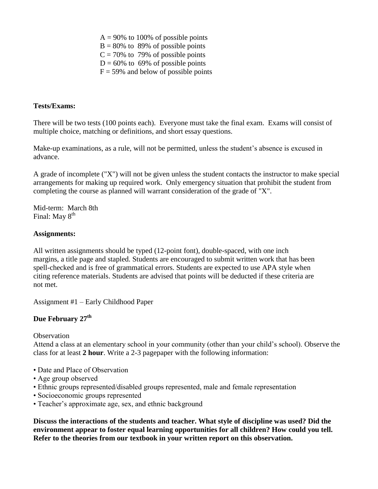$A = 90\%$  to 100% of possible points  $B = 80\%$  to 89% of possible points  $C = 70\%$  to 79% of possible points  $D = 60\%$  to 69% of possible points  $F = 59\%$  and below of possible points

#### **Tests/Exams:**

There will be two tests (100 points each). Everyone must take the final exam. Exams will consist of multiple choice, matching or definitions, and short essay questions.

Make-up examinations, as a rule, will not be permitted, unless the student's absence is excused in advance.

A grade of incomplete ("X") will not be given unless the student contacts the instructor to make special arrangements for making up required work. Only emergency situation that prohibit the student from completing the course as planned will warrant consideration of the grade of "X".

Mid-term: March 8th Final: May  $8<sup>th</sup>$ 

## **Assignments:**

All written assignments should be typed (12-point font), double-spaced, with one inch margins, a title page and stapled. Students are encouraged to submit written work that has been spell-checked and is free of grammatical errors. Students are expected to use APA style when citing reference materials. Students are advised that points will be deducted if these criteria are not met.

Assignment #1 – Early Childhood Paper

# **Due February 27th**

**Observation** 

Attend a class at an elementary school in your community (other than your child's school). Observe the class for at least **2 hour**. Write a 2-3 pagepaper with the following information:

- Date and Place of Observation
- Age group observed
- Ethnic groups represented/disabled groups represented, male and female representation
- Socioeconomic groups represented
- Teacher's approximate age, sex, and ethnic background

**Discuss the interactions of the students and teacher. What style of discipline was used? Did the environment appear to foster equal learning opportunities for all children? How could you tell. Refer to the theories from our textbook in your written report on this observation.**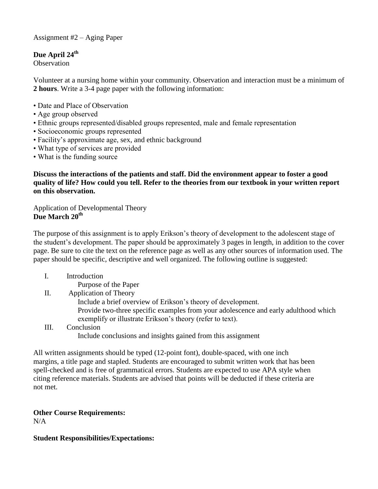Assignment #2 – Aging Paper

# **Due April 24th**

**Observation** 

Volunteer at a nursing home within your community. Observation and interaction must be a minimum of **2 hours**. Write a 3-4 page paper with the following information:

- Date and Place of Observation
- Age group observed
- Ethnic groups represented/disabled groups represented, male and female representation
- Socioeconomic groups represented
- Facility's approximate age, sex, and ethnic background
- What type of services are provided
- What is the funding source

**Discuss the interactions of the patients and staff. Did the environment appear to foster a good quality of life? How could you tell. Refer to the theories from our textbook in your written report on this observation.** 

Application of Developmental Theory **Due March 20th**

The purpose of this assignment is to apply Erikson's theory of development to the adolescent stage of the student's development. The paper should be approximately 3 pages in length, in addition to the cover page. Be sure to cite the text on the reference page as well as any other sources of information used. The paper should be specific, descriptive and well organized. The following outline is suggested:

- I. Introduction
	- Purpose of the Paper
- II. Application of Theory

Include a brief overview of Erikson's theory of development.

Provide two-three specific examples from your adolescence and early adulthood which exemplify or illustrate Erikson's theory (refer to text).

III. Conclusion Include conclusions and insights gained from this assignment

All written assignments should be typed (12-point font), double-spaced, with one inch margins, a title page and stapled. Students are encouraged to submit written work that has been spell-checked and is free of grammatical errors. Students are expected to use APA style when citing reference materials. Students are advised that points will be deducted if these criteria are not met.

# **Other Course Requirements:**

N/A

**Student Responsibilities/Expectations:**